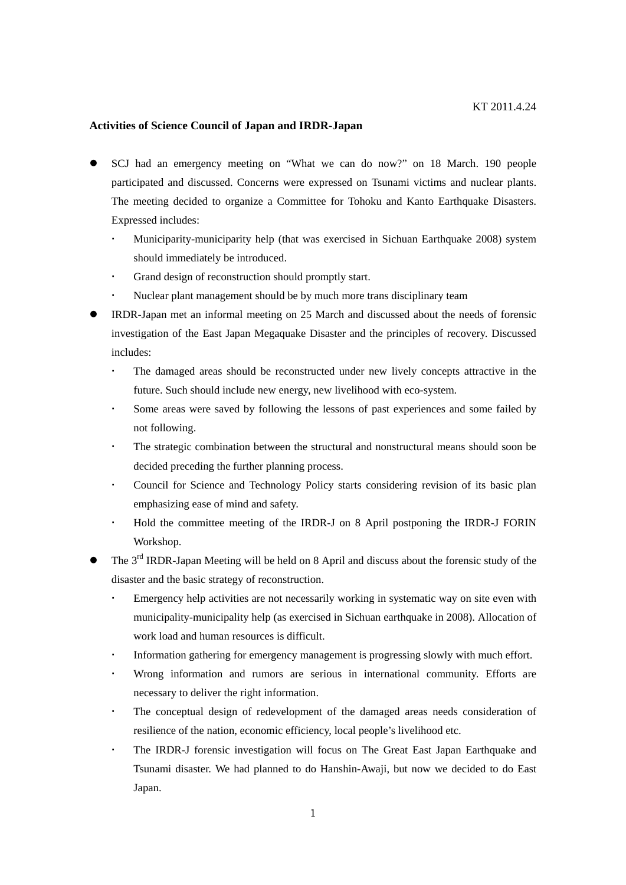## **Activities of Science Council of Japan and IRDR-Japan**

- SCJ had an emergency meeting on "What we can do now?" on 18 March. 190 people participated and discussed. Concerns were expressed on Tsunami victims and nuclear plants. The meeting decided to organize a Committee for Tohoku and Kanto Earthquake Disasters. Expressed includes:
	- Municiparity-municiparity help (that was exercised in Sichuan Earthquake 2008) system should immediately be introduced.
	- Grand design of reconstruction should promptly start.
	- Nuclear plant management should be by much more trans disciplinary team
- IRDR-Japan met an informal meeting on 25 March and discussed about the needs of forensic investigation of the East Japan Megaquake Disaster and the principles of recovery. Discussed includes:
	- The damaged areas should be reconstructed under new lively concepts attractive in the future. Such should include new energy, new livelihood with eco-system.
	- Some areas were saved by following the lessons of past experiences and some failed by not following.
	- The strategic combination between the structural and nonstructural means should soon be decided preceding the further planning process.
	- Council for Science and Technology Policy starts considering revision of its basic plan emphasizing ease of mind and safety.
	- Hold the committee meeting of the IRDR-J on 8 April postponing the IRDR-J FORIN Workshop.
- The 3<sup>rd</sup> IRDR-Japan Meeting will be held on 8 April and discuss about the forensic study of the disaster and the basic strategy of reconstruction.
	- Emergency help activities are not necessarily working in systematic way on site even with municipality-municipality help (as exercised in Sichuan earthquake in 2008). Allocation of work load and human resources is difficult.
	- Information gathering for emergency management is progressing slowly with much effort.
	- Wrong information and rumors are serious in international community. Efforts are necessary to deliver the right information.
	- The conceptual design of redevelopment of the damaged areas needs consideration of resilience of the nation, economic efficiency, local people's livelihood etc.
	- The IRDR-J forensic investigation will focus on The Great East Japan Earthquake and Tsunami disaster. We had planned to do Hanshin-Awaji, but now we decided to do East Japan.